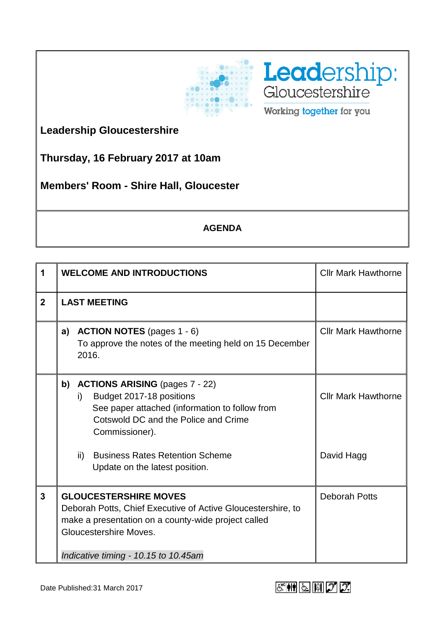



**Leadership Gloucestershire**

**Thursday, 16 February 2017 at 10am**

**Members' Room - Shire Hall, Gloucester**

## **AGENDA**

| <b>WELCOME AND INTRODUCTIONS</b>                                                                                                                                              |     |                                                                                                                                      | <b>Cllr Mark Hawthorne</b>                                                                                                                                                             |
|-------------------------------------------------------------------------------------------------------------------------------------------------------------------------------|-----|--------------------------------------------------------------------------------------------------------------------------------------|----------------------------------------------------------------------------------------------------------------------------------------------------------------------------------------|
| <b>LAST MEETING</b>                                                                                                                                                           |     |                                                                                                                                      |                                                                                                                                                                                        |
| a)                                                                                                                                                                            |     |                                                                                                                                      | <b>Cllr Mark Hawthorne</b>                                                                                                                                                             |
| b)                                                                                                                                                                            | i)  | Budget 2017-18 positions<br>See paper attached (information to follow from<br>Cotswold DC and the Police and Crime<br>Commissioner). | <b>Cllr Mark Hawthorne</b>                                                                                                                                                             |
|                                                                                                                                                                               | ii) | <b>Business Rates Retention Scheme</b><br>Update on the latest position.                                                             | David Hagg                                                                                                                                                                             |
| <b>GLOUCESTERSHIRE MOVES</b><br>Deborah Potts, Chief Executive of Active Gloucestershire, to<br>make a presentation on a county-wide project called<br>Gloucestershire Moves. |     |                                                                                                                                      | <b>Deborah Potts</b>                                                                                                                                                                   |
|                                                                                                                                                                               |     |                                                                                                                                      | <b>ACTION NOTES</b> (pages 1 - 6)<br>To approve the notes of the meeting held on 15 December<br>2016.<br><b>ACTIONS ARISING (pages 7 - 22)</b><br>Indicative timing - 10.15 to 10.45am |